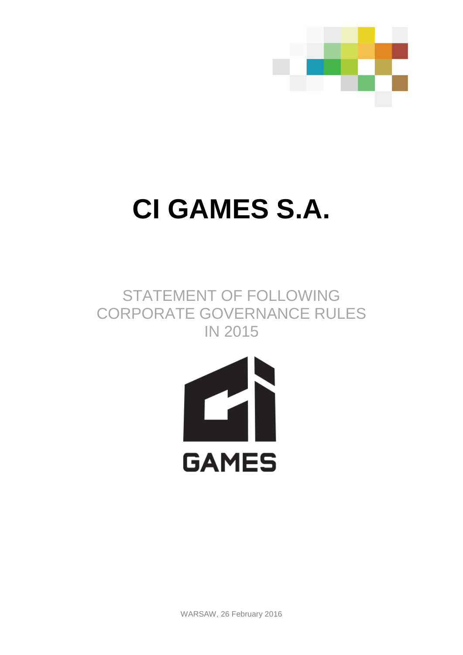

# **CI GAMES S.A.**

# STATEMENT OF FOLLOWING CORPORATE GOVERNANCE RULES IN 2015



WARSAW, 26 February 2016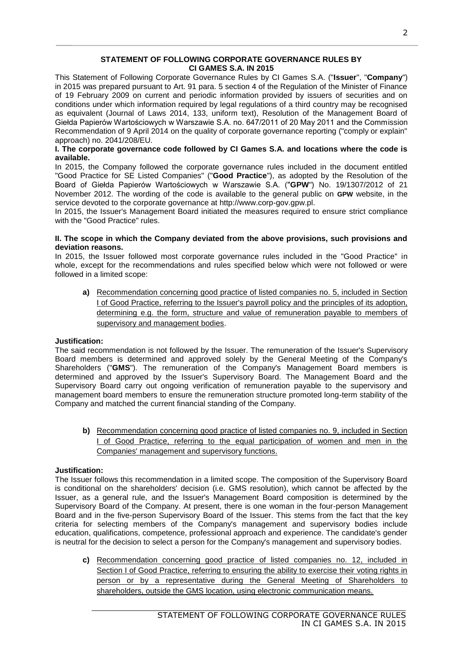# **STATEMENT OF FOLLOWING CORPORATE GOVERNANCE RULES BY CI GAMES S.A. IN 2015**

This Statement of Following Corporate Governance Rules by CI Games S.A. ("**Issuer**", "**Company**") in 2015 was prepared pursuant to Art. 91 para. 5 section 4 of the Regulation of the Minister of Finance of 19 February 2009 on current and periodic information provided by issuers of securities and on conditions under which information required by legal regulations of a third country may be recognised as equivalent (Journal of Laws 2014, 133, uniform text), Resolution of the Management Board of Giełda Papierów Wartościowych w Warszawie S.A. no. 647/2011 of 20 May 2011 and the Commission Recommendation of 9 April 2014 on the quality of corporate governance reporting ("comply or explain" approach) no. 2041/208/EU.

# **I. The corporate governance code followed by CI Games S.A. and locations where the code is available.**

In 2015, the Company followed the corporate governance rules included in the document entitled "Good Practice for SE Listed Companies" ("**Good Practice**"), as adopted by the Resolution of the Board of Giełda Papierów Wartościowych w Warszawie S.A. ("**GPW**") No. 19/1307/2012 of 21 November 2012. The wording of the code is available to the general public on **GPW** website, in the service devoted to the corporate governance at http://www.corp-gov.gpw.pl.

In 2015, the Issuer's Management Board initiated the measures required to ensure strict compliance with the "Good Practice" rules.

#### **II. The scope in which the Company deviated from the above provisions, such provisions and deviation reasons.**

In 2015, the Issuer followed most corporate governance rules included in the "Good Practice" in whole, except for the recommendations and rules specified below which were not followed or were followed in a limited scope:

**a)** Recommendation concerning good practice of listed companies no. 5, included in Section I of Good Practice, referring to the Issuer's payroll policy and the principles of its adoption, determining e.g. the form, structure and value of remuneration payable to members of supervisory and management bodies.

# **Justification:**

The said recommendation is not followed by the Issuer. The remuneration of the Issuer's Supervisory Board members is determined and approved solely by the General Meeting of the Company's Shareholders ("**GMS**"). The remuneration of the Company's Management Board members is determined and approved by the Issuer's Supervisory Board. The Management Board and the Supervisory Board carry out ongoing verification of remuneration payable to the supervisory and management board members to ensure the remuneration structure promoted long-term stability of the Company and matched the current financial standing of the Company.

**b)** Recommendation concerning good practice of listed companies no. 9, included in Section I of Good Practice, referring to the equal participation of women and men in the Companies' management and supervisory functions.

# **Justification:**

The Issuer follows this recommendation in a limited scope. The composition of the Supervisory Board is conditional on the shareholders' decision (i.e. GMS resolution), which cannot be affected by the Issuer, as a general rule, and the Issuer's Management Board composition is determined by the Supervisory Board of the Company. At present, there is one woman in the four-person Management Board and in the five-person Supervisory Board of the Issuer. This stems from the fact that the key criteria for selecting members of the Company's management and supervisory bodies include education, qualifications, competence, professional approach and experience. The candidate's gender is neutral for the decision to select a person for the Company's management and supervisory bodies.

**c)** Recommendation concerning good practice of listed companies no. 12, included in Section I of Good Practice, referring to ensuring the ability to exercise their voting rights in person or by a representative during the General Meeting of Shareholders to shareholders, outside the GMS location, using electronic communication means.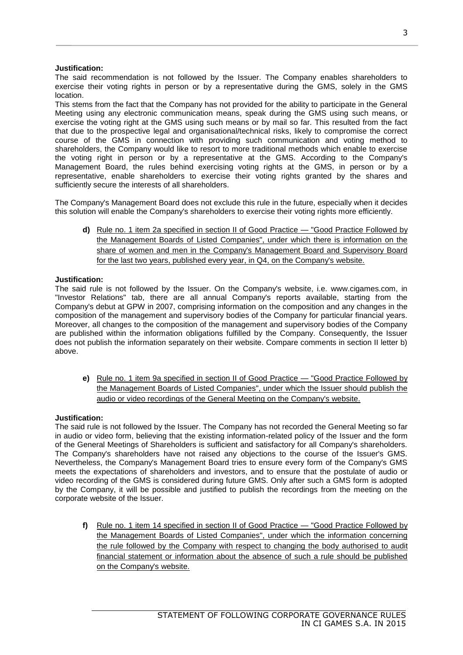# **Justification:**

The said recommendation is not followed by the Issuer. The Company enables shareholders to exercise their voting rights in person or by a representative during the GMS, solely in the GMS location.

This stems from the fact that the Company has not provided for the ability to participate in the General Meeting using any electronic communication means, speak during the GMS using such means, or exercise the voting right at the GMS using such means or by mail so far. This resulted from the fact that due to the prospective legal and organisational/technical risks, likely to compromise the correct course of the GMS in connection with providing such communication and voting method to shareholders, the Company would like to resort to more traditional methods which enable to exercise the voting right in person or by a representative at the GMS. According to the Company's Management Board, the rules behind exercising voting rights at the GMS, in person or by a representative, enable shareholders to exercise their voting rights granted by the shares and sufficiently secure the interests of all shareholders.

The Company's Management Board does not exclude this rule in the future, especially when it decides this solution will enable the Company's shareholders to exercise their voting rights more efficiently.

**d)** Rule no. 1 item 2a specified in section II of Good Practice — "Good Practice Followed by the Management Boards of Listed Companies", under which there is information on the share of women and men in the Company's Management Board and Supervisory Board for the last two years, published every year, in Q4, on the Company's website.

# **Justification:**

The said rule is not followed by the Issuer. On the Company's website, i.e. www.cigames.com, in "Investor Relations" tab, there are all annual Company's reports available, starting from the Company's debut at GPW in 2007, comprising information on the composition and any changes in the composition of the management and supervisory bodies of the Company for particular financial years. Moreover, all changes to the composition of the management and supervisory bodies of the Company are published within the information obligations fulfilled by the Company. Consequently, the Issuer does not publish the information separately on their website. Compare comments in section II letter b) above.

**e)** Rule no. 1 item 9a specified in section II of Good Practice — "Good Practice Followed by the Management Boards of Listed Companies", under which the Issuer should publish the audio or video recordings of the General Meeting on the Company's website.

# **Justification:**

The said rule is not followed by the Issuer. The Company has not recorded the General Meeting so far in audio or video form, believing that the existing information-related policy of the Issuer and the form of the General Meetings of Shareholders is sufficient and satisfactory for all Company's shareholders. The Company's shareholders have not raised any objections to the course of the Issuer's GMS. Nevertheless, the Company's Management Board tries to ensure every form of the Company's GMS meets the expectations of shareholders and investors, and to ensure that the postulate of audio or video recording of the GMS is considered during future GMS. Only after such a GMS form is adopted by the Company, it will be possible and justified to publish the recordings from the meeting on the corporate website of the Issuer.

**f)** Rule no. 1 item 14 specified in section II of Good Practice — "Good Practice Followed by the Management Boards of Listed Companies", under which the information concerning the rule followed by the Company with respect to changing the body authorised to audit financial statement or information about the absence of such a rule should be published on the Company's website.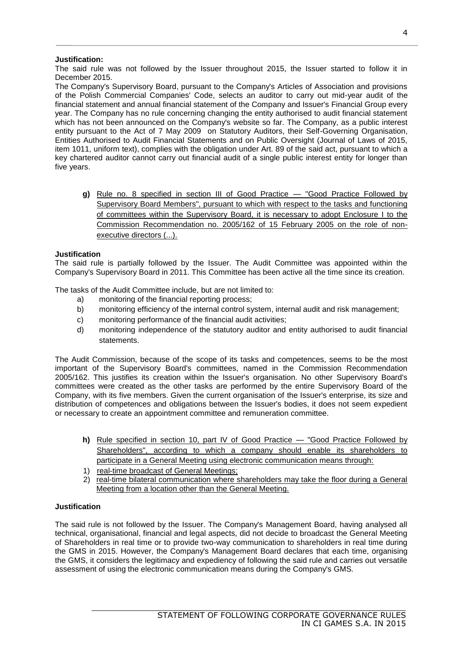# **Justification:**

The said rule was not followed by the Issuer throughout 2015, the Issuer started to follow it in December 2015.

The Company's Supervisory Board, pursuant to the Company's Articles of Association and provisions of the Polish Commercial Companies' Code, selects an auditor to carry out mid-year audit of the financial statement and annual financial statement of the Company and Issuer's Financial Group every year. The Company has no rule concerning changing the entity authorised to audit financial statement which has not been announced on the Company's website so far. The Company, as a public interest entity pursuant to the Act of 7 May 2009 on Statutory Auditors, their Self-Governing Organisation, Entities Authorised to Audit Financial Statements and on Public Oversight (Journal of Laws of 2015, item 1011, uniform text), complies with the obligation under Art. 89 of the said act, pursuant to which a key chartered auditor cannot carry out financial audit of a single public interest entity for longer than five years.

**g)** Rule no. 8 specified in section III of Good Practice — "Good Practice Followed by Supervisory Board Members", pursuant to which with respect to the tasks and functioning of committees within the Supervisory Board, it is necessary to adopt Enclosure I to the Commission Recommendation no. 2005/162 of 15 February 2005 on the role of nonexecutive directors (...).

# **Justification**

The said rule is partially followed by the Issuer. The Audit Committee was appointed within the Company's Supervisory Board in 2011. This Committee has been active all the time since its creation.

The tasks of the Audit Committee include, but are not limited to:

- a) monitoring of the financial reporting process;
- b) monitoring efficiency of the internal control system, internal audit and risk management;
- c) monitoring performance of the financial audit activities;
- d) monitoring independence of the statutory auditor and entity authorised to audit financial statements.

The Audit Commission, because of the scope of its tasks and competences, seems to be the most important of the Supervisory Board's committees, named in the Commission Recommendation 2005/162. This justifies its creation within the Issuer's organisation. No other Supervisory Board's committees were created as the other tasks are performed by the entire Supervisory Board of the Company, with its five members. Given the current organisation of the Issuer's enterprise, its size and distribution of competences and obligations between the Issuer's bodies, it does not seem expedient or necessary to create an appointment committee and remuneration committee.

- **h)** Rule specified in section 10, part IV of Good Practice "Good Practice Followed by Shareholders", according to which a company should enable its shareholders to participate in a General Meeting using electronic communication means through:
- 1) real-time broadcast of General Meetings;
- 2) real-time bilateral communication where shareholders may take the floor during a General Meeting from a location other than the General Meeting.

# **Justification**

The said rule is not followed by the Issuer. The Company's Management Board, having analysed all technical, organisational, financial and legal aspects, did not decide to broadcast the General Meeting of Shareholders in real time or to provide two-way communication to shareholders in real time during the GMS in 2015. However, the Company's Management Board declares that each time, organising the GMS, it considers the legitimacy and expediency of following the said rule and carries out versatile assessment of using the electronic communication means during the Company's GMS.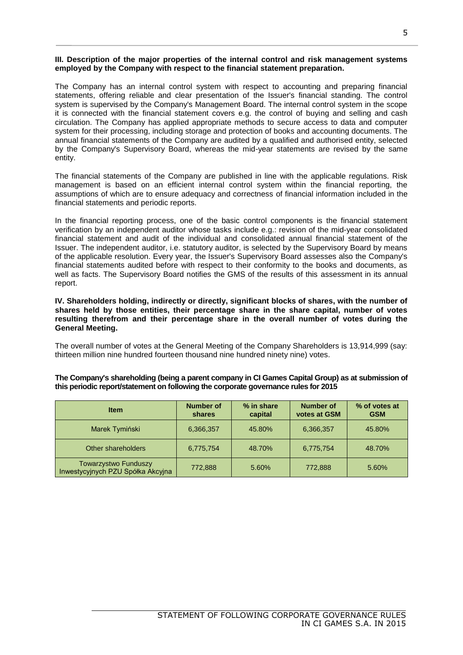#### **III. Description of the major properties of the internal control and risk management systems employed by the Company with respect to the financial statement preparation.**

The Company has an internal control system with respect to accounting and preparing financial statements, offering reliable and clear presentation of the Issuer's financial standing. The control system is supervised by the Company's Management Board. The internal control system in the scope it is connected with the financial statement covers e.g. the control of buying and selling and cash circulation. The Company has applied appropriate methods to secure access to data and computer system for their processing, including storage and protection of books and accounting documents. The annual financial statements of the Company are audited by a qualified and authorised entity, selected by the Company's Supervisory Board, whereas the mid-year statements are revised by the same entity.

The financial statements of the Company are published in line with the applicable regulations. Risk management is based on an efficient internal control system within the financial reporting, the assumptions of which are to ensure adequacy and correctness of financial information included in the financial statements and periodic reports.

In the financial reporting process, one of the basic control components is the financial statement verification by an independent auditor whose tasks include e.g.: revision of the mid-year consolidated financial statement and audit of the individual and consolidated annual financial statement of the Issuer. The independent auditor, i.e. statutory auditor, is selected by the Supervisory Board by means of the applicable resolution. Every year, the Issuer's Supervisory Board assesses also the Company's financial statements audited before with respect to their conformity to the books and documents, as well as facts. The Supervisory Board notifies the GMS of the results of this assessment in its annual report.

**IV. Shareholders holding, indirectly or directly, significant blocks of shares, with the number of shares held by those entities, their percentage share in the share capital, number of votes resulting therefrom and their percentage share in the overall number of votes during the General Meeting.** 

The overall number of votes at the General Meeting of the Company Shareholders is 13,914,999 (say: thirteen million nine hundred fourteen thousand nine hundred ninety nine) votes.

**The Company's shareholding (being a parent company in CI Games Capital Group) as at submission of this periodic report/statement on following the corporate governance rules for 2015**

| <b>Item</b>                                                      | Number of<br>shares | % in share<br>capital | <b>Number of</b><br>votes at GSM | % of votes at<br><b>GSM</b> |
|------------------------------------------------------------------|---------------------|-----------------------|----------------------------------|-----------------------------|
| Marek Tymiński                                                   | 6,366,357           | 45.80%                | 6,366,357                        | 45.80%                      |
| Other shareholders                                               | 6,775,754           | 48.70%                | 6,775,754                        | 48.70%                      |
| <b>Towarzystwo Funduszy</b><br>Inwestycyjnych PZU Spółka Akcyjna | 772,888             | 5.60%                 | 772,888                          | 5.60%                       |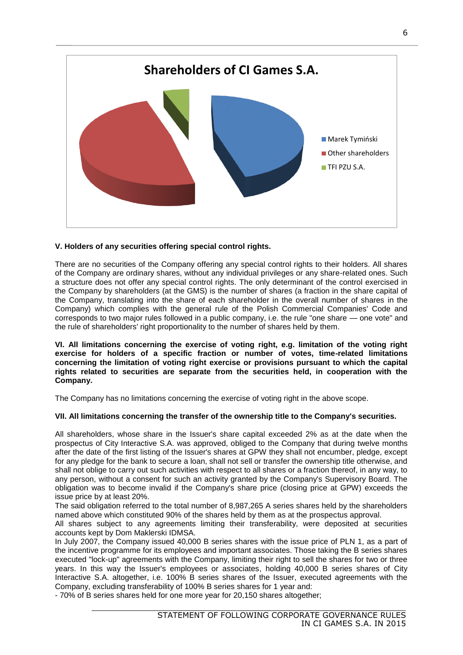

# **V. Holders of any securities offering special control rights.**

There are no securities of the Company offering any special control rights to their holders. All shares of the Company are ordinary shares, without any individual privileges or any share-related ones. Such a structure does not offer any special control rights. The only determinant of the control exercised in the Company by shareholders (at the GMS) is the number of shares (a fraction in the share capital of the Company, translating into the share of each shareholder in the overall number of shares in the Company) which complies with the general rule of the Polish Commercial Companies' Code and corresponds to two major rules followed in a public company, i.e. the rule "one share — one vote" and the rule of shareholders' right proportionality to the number of shares held by them.

**VI. All limitations concerning the exercise of voting right, e.g. limitation of the voting right exercise for holders of a specific fraction or number of votes, time-related limitations concerning the limitation of voting right exercise or provisions pursuant to which the capital rights related to securities are separate from the securities held, in cooperation with the Company.**

The Company has no limitations concerning the exercise of voting right in the above scope.

# **VII. All limitations concerning the transfer of the ownership title to the Company's securities.**

All shareholders, whose share in the Issuer's share capital exceeded 2% as at the date when the prospectus of City Interactive S.A. was approved, obliged to the Company that during twelve months after the date of the first listing of the Issuer's shares at GPW they shall not encumber, pledge, except for any pledge for the bank to secure a loan, shall not sell or transfer the ownership title otherwise, and shall not oblige to carry out such activities with respect to all shares or a fraction thereof, in any way, to any person, without a consent for such an activity granted by the Company's Supervisory Board. The obligation was to become invalid if the Company's share price (closing price at GPW) exceeds the issue price by at least 20%.

The said obligation referred to the total number of 8,987,265 A series shares held by the shareholders named above which constituted 90% of the shares held by them as at the prospectus approval.

All shares subject to any agreements limiting their transferability, were deposited at securities accounts kept by Dom Maklerski IDMSA.

In July 2007, the Company issued 40,000 B series shares with the issue price of PLN 1, as a part of the incentive programme for its employees and important associates. Those taking the B series shares executed "lock-up" agreements with the Company, limiting their right to sell the shares for two or three years. In this way the Issuer's employees or associates, holding 40,000 B series shares of City Interactive S.A. altogether, i.e. 100% B series shares of the Issuer, executed agreements with the Company, excluding transferability of 100% B series shares for 1 year and:

- 70% of B series shares held for one more year for 20,150 shares altogether;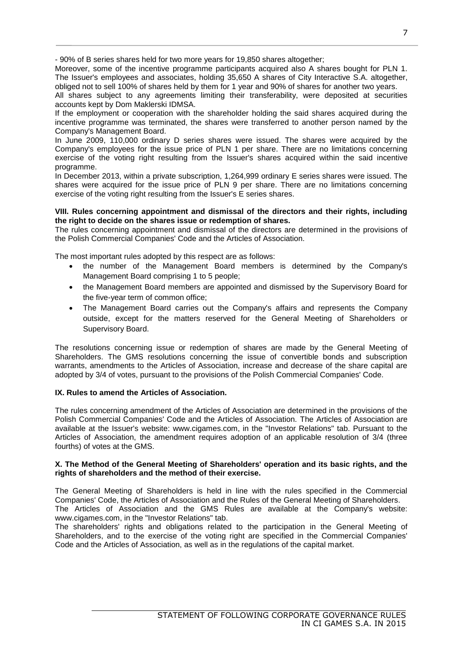- 90% of B series shares held for two more years for 19,850 shares altogether;

Moreover, some of the incentive programme participants acquired also A shares bought for PLN 1. The Issuer's employees and associates, holding 35,650 A shares of City Interactive S.A. altogether, obliged not to sell 100% of shares held by them for 1 year and 90% of shares for another two years.

All shares subject to any agreements limiting their transferability, were deposited at securities accounts kept by Dom Maklerski IDMSA.

If the employment or cooperation with the shareholder holding the said shares acquired during the incentive programme was terminated, the shares were transferred to another person named by the Company's Management Board.

In June 2009, 110,000 ordinary D series shares were issued. The shares were acquired by the Company's employees for the issue price of PLN 1 per share. There are no limitations concerning exercise of the voting right resulting from the Issuer's shares acquired within the said incentive programme.

In December 2013, within a private subscription, 1,264,999 ordinary E series shares were issued. The shares were acquired for the issue price of PLN 9 per share. There are no limitations concerning exercise of the voting right resulting from the Issuer's E series shares.

#### **VIII. Rules concerning appointment and dismissal of the directors and their rights, including the right to decide on the shares issue or redemption of shares.**

The rules concerning appointment and dismissal of the directors are determined in the provisions of the Polish Commercial Companies' Code and the Articles of Association.

The most important rules adopted by this respect are as follows:

- the number of the Management Board members is determined by the Company's Management Board comprising 1 to 5 people;
- the Management Board members are appointed and dismissed by the Supervisory Board for the five-year term of common office;
- The Management Board carries out the Company's affairs and represents the Company outside, except for the matters reserved for the General Meeting of Shareholders or Supervisory Board.

The resolutions concerning issue or redemption of shares are made by the General Meeting of Shareholders. The GMS resolutions concerning the issue of convertible bonds and subscription warrants, amendments to the Articles of Association, increase and decrease of the share capital are adopted by 3/4 of votes, pursuant to the provisions of the Polish Commercial Companies' Code.

# **IX. Rules to amend the Articles of Association.**

The rules concerning amendment of the Articles of Association are determined in the provisions of the Polish Commercial Companies' Code and the Articles of Association. The Articles of Association are available at the Issuer's website: www.cigames.com, in the "Investor Relations" tab. Pursuant to the Articles of Association, the amendment requires adoption of an applicable resolution of 3/4 (three fourths) of votes at the GMS.

#### **X. The Method of the General Meeting of Shareholders' operation and its basic rights, and the rights of shareholders and the method of their exercise.**

The General Meeting of Shareholders is held in line with the rules specified in the Commercial Companies' Code, the Articles of Association and the Rules of the General Meeting of Shareholders. The Articles of Association and the GMS Rules are available at the Company's website: www.cigames.com, in the "Investor Relations" tab.

The shareholders' rights and obligations related to the participation in the General Meeting of Shareholders, and to the exercise of the voting right are specified in the Commercial Companies' Code and the Articles of Association, as well as in the regulations of the capital market.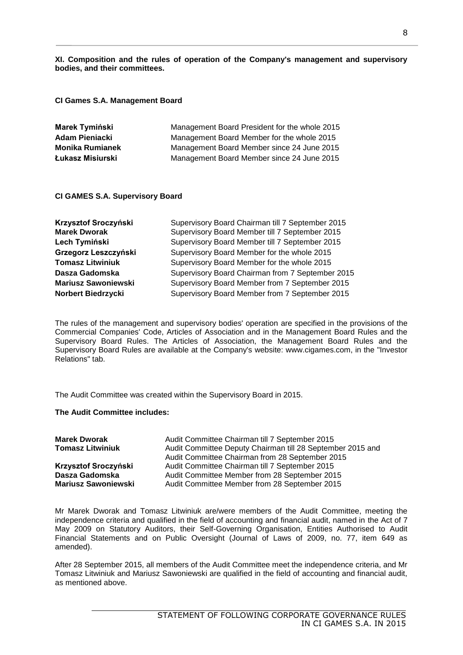**XI. Composition and the rules of operation of the Company's management and supervisory bodies, and their committees.** 

**CI Games S.A. Management Board**

| Marek Tymiński         | Management Board President for the whole 2015 |
|------------------------|-----------------------------------------------|
| Adam Pieniacki         | Management Board Member for the whole 2015    |
| <b>Monika Rumianek</b> | Management Board Member since 24 June 2015    |
| Łukasz Misiurski       | Management Board Member since 24 June 2015    |

#### **CI GAMES S.A. Supervisory Board**

| Krzysztof Sroczyński       | Supervisory Board Chairman till 7 September 2015 |
|----------------------------|--------------------------------------------------|
| <b>Marek Dworak</b>        | Supervisory Board Member till 7 September 2015   |
| Lech Tymiński              | Supervisory Board Member till 7 September 2015   |
| Grzegorz Leszczyński       | Supervisory Board Member for the whole 2015      |
| <b>Tomasz Litwiniuk</b>    | Supervisory Board Member for the whole 2015      |
| Dasza Gadomska             | Supervisory Board Chairman from 7 September 2015 |
| <b>Mariusz Sawoniewski</b> | Supervisory Board Member from 7 September 2015   |
| Norbert Biedrzycki         | Supervisory Board Member from 7 September 2015   |

The rules of the management and supervisory bodies' operation are specified in the provisions of the Commercial Companies' Code, Articles of Association and in the Management Board Rules and the Supervisory Board Rules. The Articles of Association, the Management Board Rules and the Supervisory Board Rules are available at the Company's website: www.cigames.com, in the "Investor Relations" tab.

The Audit Committee was created within the Supervisory Board in 2015.

#### **The Audit Committee includes:**

| <b>Marek Dworak</b>        | Audit Committee Chairman till 7 September 2015                                                                |
|----------------------------|---------------------------------------------------------------------------------------------------------------|
| <b>Tomasz Litwiniuk</b>    | Audit Committee Deputy Chairman till 28 September 2015 and<br>Audit Committee Chairman from 28 September 2015 |
| Krzysztof Sroczyński       | Audit Committee Chairman till 7 September 2015                                                                |
| Dasza Gadomska             | Audit Committee Member from 28 September 2015                                                                 |
| <b>Mariusz Sawoniewski</b> | Audit Committee Member from 28 September 2015                                                                 |

Mr Marek Dworak and Tomasz Litwiniuk are/were members of the Audit Committee, meeting the independence criteria and qualified in the field of accounting and financial audit, named in the Act of 7 May 2009 on Statutory Auditors, their Self-Governing Organisation, Entities Authorised to Audit Financial Statements and on Public Oversight (Journal of Laws of 2009, no. 77, item 649 as amended).

After 28 September 2015, all members of the Audit Committee meet the independence criteria, and Mr Tomasz Litwiniuk and Mariusz Sawoniewski are qualified in the field of accounting and financial audit, as mentioned above.